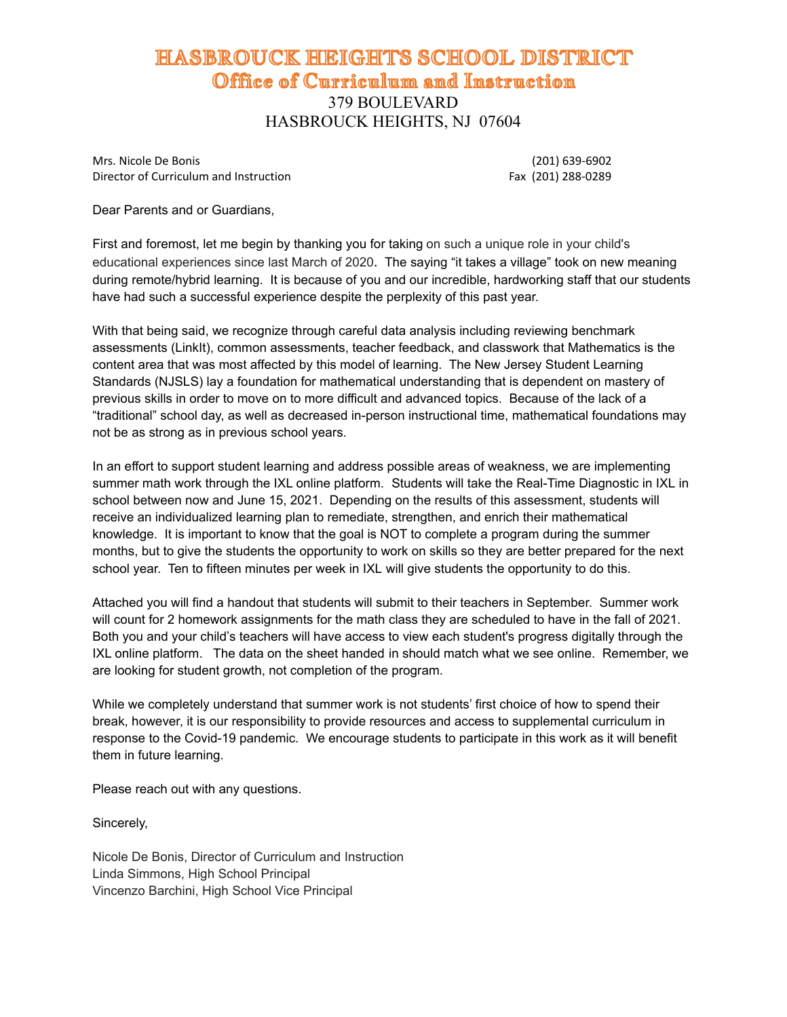## HASBROUCK HEIGHTS SCHOOL DISTRICT Office of Curriculum and Instruction 379 BOULEVARD HASBROUCK HEIGHTS, NJ 07604

Mrs. Nicole De Bonis (201) 639-6902 Director of Curriculum and Instruction Fax (201) 288-0289

Dear Parents and or Guardians,

First and foremost, let me begin by thanking you for taking on such a unique role in your child's educational experiences since last March of 2020*.* The saying "it takes a village" took on new meaning during remote/hybrid learning. It is because of you and our incredible, hardworking staff that our students have had such a successful experience despite the perplexity of this past year.

With that being said, we recognize through careful data analysis including reviewing benchmark assessments (LinkIt), common assessments, teacher feedback, and classwork that Mathematics is the content area that was most affected by this model of learning. The New Jersey Student Learning Standards (NJSLS) lay a foundation for mathematical understanding that is dependent on mastery of previous skills in order to move on to more difficult and advanced topics. Because of the lack of a "traditional" school day, as well as decreased in-person instructional time, mathematical foundations may not be as strong as in previous school years.

In an effort to support student learning and address possible areas of weakness, we are implementing summer math work through the IXL online platform. Students will take the Real-Time Diagnostic in IXL in school between now and June 15, 2021. Depending on the results of this assessment, students will receive an individualized learning plan to remediate, strengthen, and enrich their mathematical knowledge. It is important to know that the goal is NOT to complete a program during the summer months, but to give the students the opportunity to work on skills so they are better prepared for the next school year. Ten to fifteen minutes per week in IXL will give students the opportunity to do this.

Attached you will find a handout that students will submit to their teachers in September. Summer work will count for 2 homework assignments for the math class they are scheduled to have in the fall of 2021. Both you and your child's teachers will have access to view each student's progress digitally through the IXL online platform. The data on the sheet handed in should match what we see online. Remember, we are looking for student growth, not completion of the program.

While we completely understand that summer work is not students' first choice of how to spend their break, however, it is our responsibility to provide resources and access to supplemental curriculum in response to the Covid-19 pandemic. We encourage students to participate in this work as it will benefit them in future learning.

Please reach out with any questions.

Sincerely,

Nicole De Bonis, Director of Curriculum and Instruction Linda Simmons, High School Principal Vincenzo Barchini, High School Vice Principal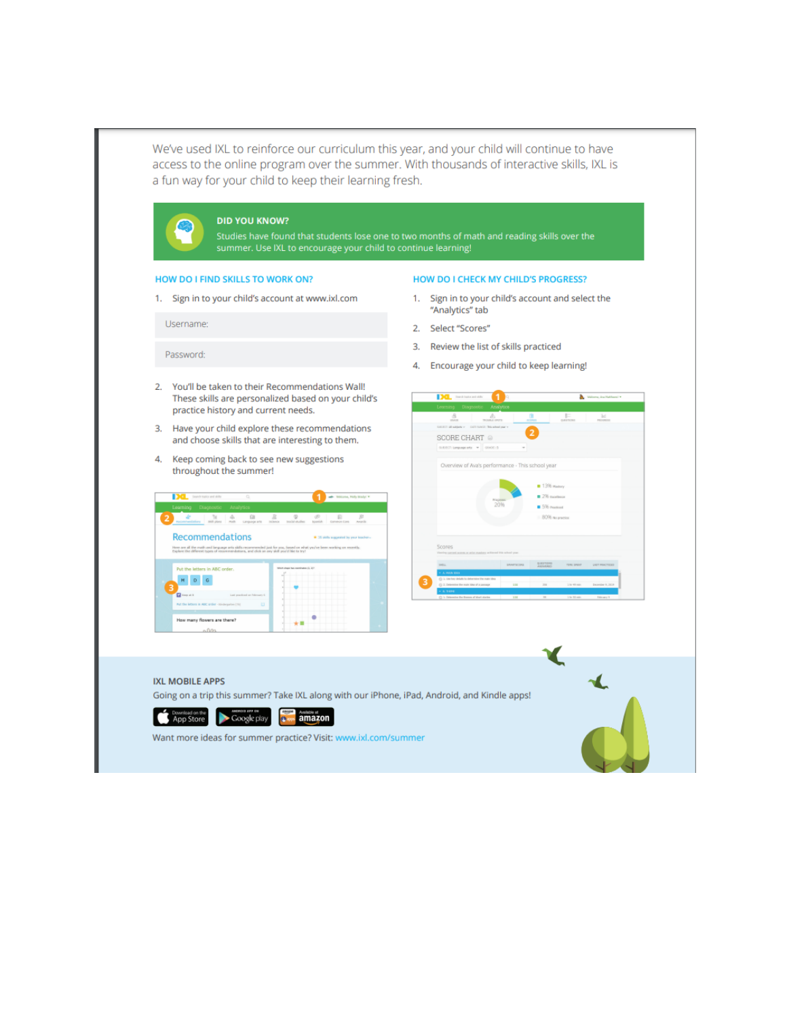| summer. Use IXL to encourage your child to continue learning!                                                                                                                                                                                                                                                                                                                                                                                                                                                                                                                                                                                                                                                                                                                                                                                                                                                                                                                                                                                                                                                                                   |                                                                                                                                                                                                                                                                                                                                                                  |
|-------------------------------------------------------------------------------------------------------------------------------------------------------------------------------------------------------------------------------------------------------------------------------------------------------------------------------------------------------------------------------------------------------------------------------------------------------------------------------------------------------------------------------------------------------------------------------------------------------------------------------------------------------------------------------------------------------------------------------------------------------------------------------------------------------------------------------------------------------------------------------------------------------------------------------------------------------------------------------------------------------------------------------------------------------------------------------------------------------------------------------------------------|------------------------------------------------------------------------------------------------------------------------------------------------------------------------------------------------------------------------------------------------------------------------------------------------------------------------------------------------------------------|
| HOW DO I FIND SKILLS TO WORK ON?                                                                                                                                                                                                                                                                                                                                                                                                                                                                                                                                                                                                                                                                                                                                                                                                                                                                                                                                                                                                                                                                                                                | <b>HOW DO I CHECK MY CHILD'S PROGRESS?</b>                                                                                                                                                                                                                                                                                                                       |
| 1. Sign in to your child's account at www.ixl.com                                                                                                                                                                                                                                                                                                                                                                                                                                                                                                                                                                                                                                                                                                                                                                                                                                                                                                                                                                                                                                                                                               | Sign in to your child's account and select the<br>1.<br>"Analytics" tab                                                                                                                                                                                                                                                                                          |
| Username:                                                                                                                                                                                                                                                                                                                                                                                                                                                                                                                                                                                                                                                                                                                                                                                                                                                                                                                                                                                                                                                                                                                                       | 2. Select "Scores"                                                                                                                                                                                                                                                                                                                                               |
| Password:                                                                                                                                                                                                                                                                                                                                                                                                                                                                                                                                                                                                                                                                                                                                                                                                                                                                                                                                                                                                                                                                                                                                       | 3. Review the list of skills practiced                                                                                                                                                                                                                                                                                                                           |
|                                                                                                                                                                                                                                                                                                                                                                                                                                                                                                                                                                                                                                                                                                                                                                                                                                                                                                                                                                                                                                                                                                                                                 | Encourage your child to keep learning!<br>4.                                                                                                                                                                                                                                                                                                                     |
| These skills are personalized based on your child's<br>practice history and current needs.<br>3. Have your child explore these recommendations<br>and choose skills that are interesting to them.<br>4. Keep coming back to see new suggestions<br>throughout the summer!<br><b>Contract Manager</b><br>$\frac{1}{2}$ and the matrix $\frac{1}{2}$ and $\frac{1}{2}$<br>Learning Diagnostic Analytics<br>$\frac{1}{2}$ $\frac{1}{2}$ $\frac{1}{2}$ $\frac{1}{2}$ $\frac{1}{2}$ $\frac{1}{2}$ $\frac{1}{2}$ $\frac{1}{2}$ $\frac{1}{2}$ $\frac{1}{2}$ $\frac{1}{2}$ $\frac{1}{2}$ $\frac{1}{2}$ $\frac{1}{2}$ $\frac{1}{2}$ $\frac{1}{2}$ $\frac{1}{2}$ $\frac{1}{2}$ $\frac{1}{2}$ $\frac{1}{2}$ $\frac{1}{2}$ $\frac{1}{2}$<br>å<br>$^{\circ}$<br><b>Recommendations</b><br>$4.36$ skills was<br>ere ore all the math and language arts skills recommended just for pox, based on what you've b<br>where the different types of recommendations, and click on any skill you'd like to try!<br>Put the letters in ABC order.<br>$M$ $D$ $G$<br><b>D</b><br>Fut the litters in ABIC order - to<br>How many flowers are there?<br>60 <sup>o</sup> | <b>Millene, Inchesters 14</b><br><b>Deal</b> Inserts higher and shifts<br>å<br>O.<br>F<br>$\triangle$<br>k.<br>$\overline{\phantom{a}}$<br>$\overline{a}$<br>SCORE CHART @<br>SUE/ECT: Language arts = =   GENOC: 5<br>Overview of Ava's performance - This school year<br>$= 120$ many<br><b>B</b> 2% publication<br>SV6 Procticed<br>80% no practice<br>Scares |